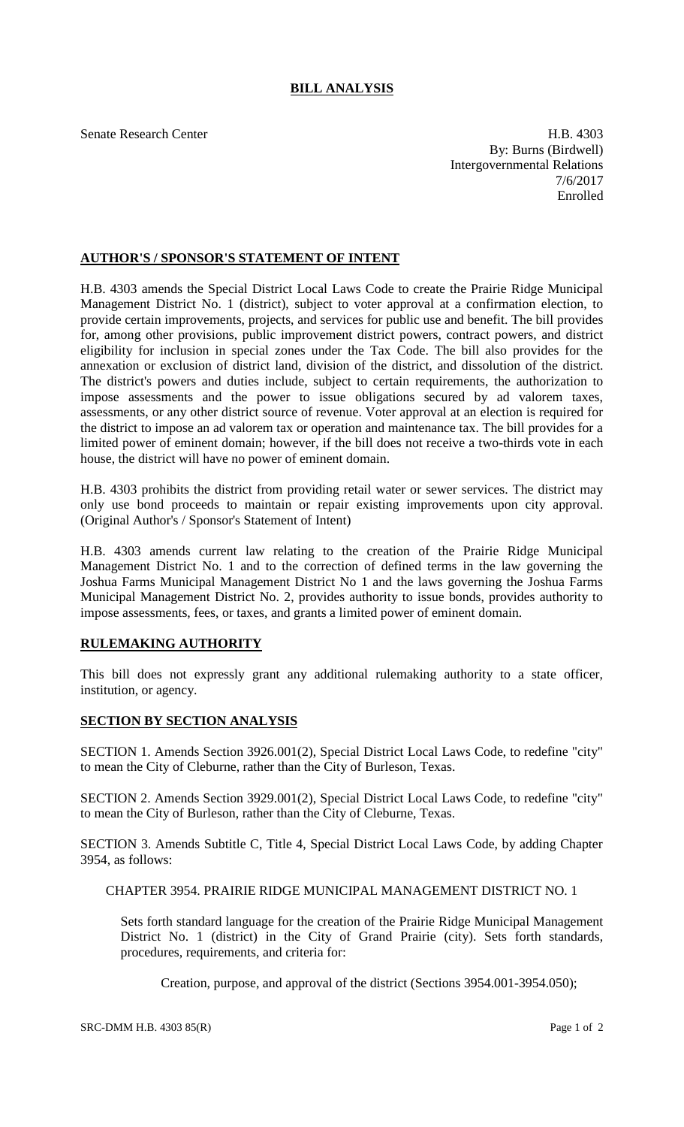## **BILL ANALYSIS**

Senate Research Center **H.B. 4303** By: Burns (Birdwell) Intergovernmental Relations 7/6/2017 Enrolled

## **AUTHOR'S / SPONSOR'S STATEMENT OF INTENT**

H.B. 4303 amends the Special District Local Laws Code to create the Prairie Ridge Municipal Management District No. 1 (district), subject to voter approval at a confirmation election, to provide certain improvements, projects, and services for public use and benefit. The bill provides for, among other provisions, public improvement district powers, contract powers, and district eligibility for inclusion in special zones under the Tax Code. The bill also provides for the annexation or exclusion of district land, division of the district, and dissolution of the district. The district's powers and duties include, subject to certain requirements, the authorization to impose assessments and the power to issue obligations secured by ad valorem taxes, assessments, or any other district source of revenue. Voter approval at an election is required for the district to impose an ad valorem tax or operation and maintenance tax. The bill provides for a limited power of eminent domain; however, if the bill does not receive a two-thirds vote in each house, the district will have no power of eminent domain.

H.B. 4303 prohibits the district from providing retail water or sewer services. The district may only use bond proceeds to maintain or repair existing improvements upon city approval. (Original Author's / Sponsor's Statement of Intent)

H.B. 4303 amends current law relating to the creation of the Prairie Ridge Municipal Management District No. 1 and to the correction of defined terms in the law governing the Joshua Farms Municipal Management District No 1 and the laws governing the Joshua Farms Municipal Management District No. 2, provides authority to issue bonds, provides authority to impose assessments, fees, or taxes, and grants a limited power of eminent domain.

## **RULEMAKING AUTHORITY**

This bill does not expressly grant any additional rulemaking authority to a state officer, institution, or agency.

## **SECTION BY SECTION ANALYSIS**

SECTION 1. Amends Section 3926.001(2), Special District Local Laws Code, to redefine "city" to mean the City of Cleburne, rather than the City of Burleson, Texas.

SECTION 2. Amends Section 3929.001(2), Special District Local Laws Code, to redefine "city" to mean the City of Burleson, rather than the City of Cleburne, Texas.

SECTION 3. Amends Subtitle C, Title 4, Special District Local Laws Code, by adding Chapter 3954, as follows:

CHAPTER 3954. PRAIRIE RIDGE MUNICIPAL MANAGEMENT DISTRICT NO. 1

Sets forth standard language for the creation of the Prairie Ridge Municipal Management District No. 1 (district) in the City of Grand Prairie (city). Sets forth standards, procedures, requirements, and criteria for:

Creation, purpose, and approval of the district (Sections 3954.001-3954.050);